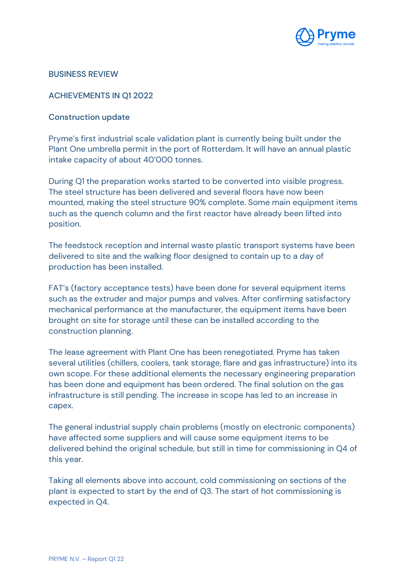

#### BUSINESS REVIEW

## ACHIEVEMENTS IN Q1 2022

#### Construction update

Pryme's first industrial scale validation plant is currently being built under the Plant One umbrella permit in the port of Rotterdam. It will have an annual plastic intake capacity of about 40'000 tonnes.

During Q1 the preparation works started to be converted into visible progress. The steel structure has been delivered and several floors have now been mounted, making the steel structure 90% complete. Some main equipment items such as the quench column and the first reactor have already been lifted into position.

The feedstock reception and internal waste plastic transport systems have been delivered to site and the walking floor designed to contain up to a day of production has been installed.

FAT's (factory acceptance tests) have been done for several equipment items such as the extruder and major pumps and valves. After confirming satisfactory mechanical performance at the manufacturer, the equipment items have been brought on site for storage until these can be installed according to the construction planning.

The lease agreement with Plant One has been renegotiated. Pryme has taken several utilities (chillers, coolers, tank storage, flare and gas infrastructure) into its own scope. For these additional elements the necessary engineering preparation has been done and equipment has been ordered. The final solution on the gas infrastructure is still pending. The increase in scope has led to an increase in capex.

The general industrial supply chain problems (mostly on electronic components) have affected some suppliers and will cause some equipment items to be delivered behind the original schedule, but still in time for commissioning in Q4 of this year.

Taking all elements above into account, cold commissioning on sections of the plant is expected to start by the end of Q3. The start of hot commissioning is expected in Q4.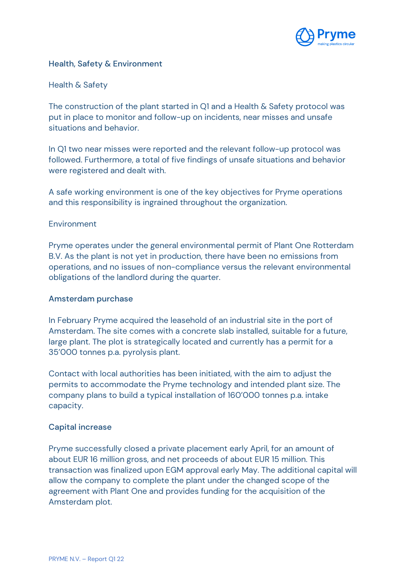

## Health, Safety & Environment

## Health & Safety

The construction of the plant started in Q1 and a Health & Safety protocol was put in place to monitor and follow-up on incidents, near misses and unsafe situations and behavior.

In Q1 two near misses were reported and the relevant follow-up protocol was followed. Furthermore, a total of five findings of unsafe situations and behavior were registered and dealt with.

A safe working environment is one of the key objectives for Pryme operations and this responsibility is ingrained throughout the organization.

#### Environment

Pryme operates under the general environmental permit of Plant One Rotterdam B.V. As the plant is not yet in production, there have been no emissions from operations, and no issues of non-compliance versus the relevant environmental obligations of the landlord during the quarter.

#### Amsterdam purchase

In February Pryme acquired the leasehold of an industrial site in the port of Amsterdam. The site comes with a concrete slab installed, suitable for a future, large plant. The plot is strategically located and currently has a permit for a 35'000 tonnes p.a. pyrolysis plant.

Contact with local authorities has been initiated, with the aim to adjust the permits to accommodate the Pryme technology and intended plant size. The company plans to build a typical installation of 160'000 tonnes p.a. intake capacity.

#### Capital increase

Pryme successfully closed a private placement early April, for an amount of about EUR 16 million gross, and net proceeds of about EUR 15 million. This transaction was finalized upon EGM approval early May. The additional capital will allow the company to complete the plant under the changed scope of the agreement with Plant One and provides funding for the acquisition of the Amsterdam plot.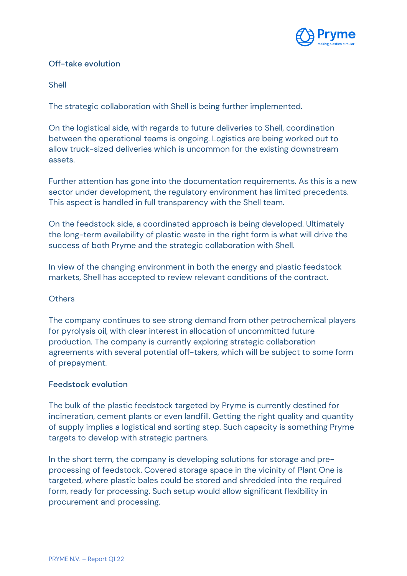

# Off-take evolution

Shell

The strategic collaboration with Shell is being further implemented.

On the logistical side, with regards to future deliveries to Shell, coordination between the operational teams is ongoing. Logistics are being worked out to allow truck-sized deliveries which is uncommon for the existing downstream assets.

Further attention has gone into the documentation requirements. As this is a new sector under development, the regulatory environment has limited precedents. This aspect is handled in full transparency with the Shell team.

On the feedstock side, a coordinated approach is being developed. Ultimately the long-term availability of plastic waste in the right form is what will drive the success of both Pryme and the strategic collaboration with Shell.

In view of the changing environment in both the energy and plastic feedstock markets, Shell has accepted to review relevant conditions of the contract.

## **Others**

The company continues to see strong demand from other petrochemical players for pyrolysis oil, with clear interest in allocation of uncommitted future production. The company is currently exploring strategic collaboration agreements with several potential off-takers, which will be subject to some form of prepayment.

## Feedstock evolution

The bulk of the plastic feedstock targeted by Pryme is currently destined for incineration, cement plants or even landfill. Getting the right quality and quantity of supply implies a logistical and sorting step. Such capacity is something Pryme targets to develop with strategic partners.

In the short term, the company is developing solutions for storage and preprocessing of feedstock. Covered storage space in the vicinity of Plant One is targeted, where plastic bales could be stored and shredded into the required form, ready for processing. Such setup would allow significant flexibility in procurement and processing.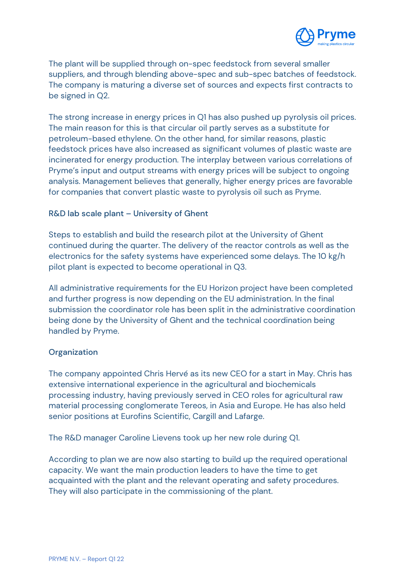

The plant will be supplied through on-spec feedstock from several smaller suppliers, and through blending above-spec and sub-spec batches of feedstock. The company is maturing a diverse set of sources and expects first contracts to be signed in Q2.

The strong increase in energy prices in Q1 has also pushed up pyrolysis oil prices. The main reason for this is that circular oil partly serves as a substitute for petroleum-based ethylene. On the other hand, for similar reasons, plastic feedstock prices have also increased as significant volumes of plastic waste are incinerated for energy production. The interplay between various correlations of Pryme's input and output streams with energy prices will be subject to ongoing analysis. Management believes that generally, higher energy prices are favorable for companies that convert plastic waste to pyrolysis oil such as Pryme.

# R&D lab scale plant – University of Ghent

Steps to establish and build the research pilot at the University of Ghent continued during the quarter. The delivery of the reactor controls as well as the electronics for the safety systems have experienced some delays. The 10 kg/h pilot plant is expected to become operational in Q3.

All administrative requirements for the EU Horizon project have been completed and further progress is now depending on the EU administration. In the final submission the coordinator role has been split in the administrative coordination being done by the University of Ghent and the technical coordination being handled by Pryme.

## **Organization**

The company appointed Chris Hervé as its new CEO for a start in May. Chris has extensive international experience in the agricultural and biochemicals processing industry, having previously served in CEO roles for agricultural raw material processing conglomerate Tereos, in Asia and Europe. He has also held senior positions at Eurofins Scientific, Cargill and Lafarge.

The R&D manager Caroline Lievens took up her new role during Q1.

According to plan we are now also starting to build up the required operational capacity. We want the main production leaders to have the time to get acquainted with the plant and the relevant operating and safety procedures. They will also participate in the commissioning of the plant.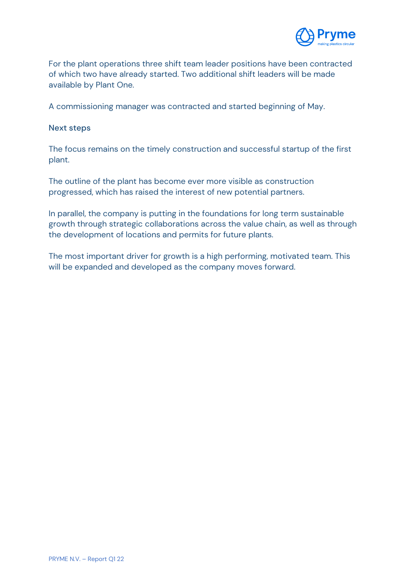

For the plant operations three shift team leader positions have been contracted of which two have already started. Two additional shift leaders will be made available by Plant One.

A commissioning manager was contracted and started beginning of May.

#### Next steps

The focus remains on the timely construction and successful startup of the first plant.

The outline of the plant has become ever more visible as construction progressed, which has raised the interest of new potential partners.

In parallel, the company is putting in the foundations for long term sustainable growth through strategic collaborations across the value chain, as well as through the development of locations and permits for future plants.

The most important driver for growth is a high performing, motivated team. This will be expanded and developed as the company moves forward.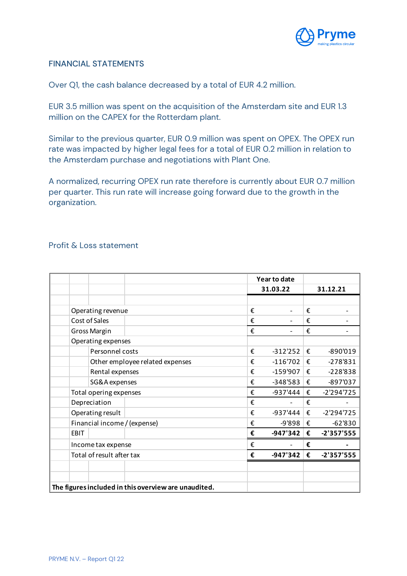

## FINANCIAL STATEMENTS

Over Q1, the cash balance decreased by a total of EUR 4.2 million.

EUR 3.5 million was spent on the acquisition of the Amsterdam site and EUR 1.3 million on the CAPEX for the Rotterdam plant.

Similar to the previous quarter, EUR 0.9 million was spent on OPEX. The OPEX run rate was impacted by higher legal fees for a total of EUR 0.2 million in relation to the Amsterdam purchase and negotiations with Plant One.

A normalized, recurring OPEX run rate therefore is currently about EUR 0.7 million per quarter. This run rate will increase going forward due to the growth in the organization.

### Profit & Loss statement

|                                                      |                  |                                 |   | Year to date |   |              |  |
|------------------------------------------------------|------------------|---------------------------------|---|--------------|---|--------------|--|
|                                                      |                  |                                 |   | 31.03.22     |   | 31.12.21     |  |
|                                                      |                  |                                 |   |              |   |              |  |
| Operating revenue                                    |                  |                                 | € |              | € |              |  |
| Cost of Sales                                        |                  |                                 | € |              | € |              |  |
| <b>Gross Margin</b>                                  |                  |                                 | € |              | € |              |  |
| Operating expenses                                   |                  |                                 |   |              |   |              |  |
| Personnel costs                                      |                  |                                 | € | $-312'252$   | € | -890'019     |  |
|                                                      |                  | Other employee related expenses | € | $-116'702$   | € | $-278'831$   |  |
| Rental expenses                                      |                  |                                 | € | $-159'907$   | € | $-228'838$   |  |
|                                                      | SG&A expenses    |                                 | € | $-348'583$   | € | -897'037     |  |
| Total opering expenses                               |                  |                                 | € | -937'444     | € | $-2'294'725$ |  |
| Depreciation                                         |                  |                                 | € |              | € |              |  |
|                                                      | Operating result |                                 | € | -937'444     | € | $-2'294'725$ |  |
| Financial income / (expense)                         |                  |                                 | € | $-9'898$     | € | $-62'830$    |  |
| EBIT                                                 |                  |                                 | € | $-947'342$   | € | $-2'357'555$ |  |
| Income tax expense                                   |                  |                                 | € |              | € |              |  |
| Total of result after tax                            |                  |                                 | € | $-947'342$   | € | $-2'357'555$ |  |
|                                                      |                  |                                 |   |              |   |              |  |
|                                                      |                  |                                 |   |              |   |              |  |
| The figures included in this overview are unaudited. |                  |                                 |   |              |   |              |  |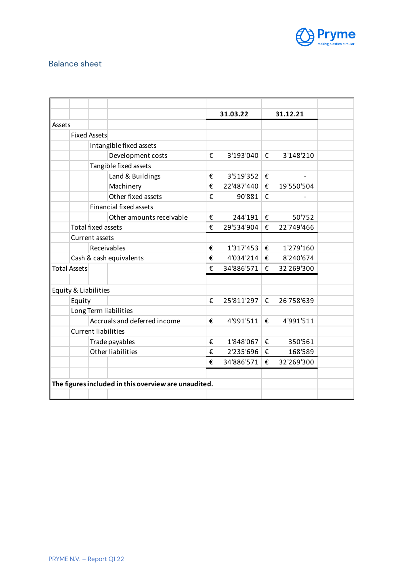

# Balance sheet

|        |                            |                              |                                                      |   | 31.03.22   |   | 31.12.21   |
|--------|----------------------------|------------------------------|------------------------------------------------------|---|------------|---|------------|
| Assets |                            |                              |                                                      |   |            |   |            |
|        |                            | <b>Fixed Assets</b>          |                                                      |   |            |   |            |
|        |                            |                              | Intangible fixed assets                              |   |            |   |            |
|        |                            |                              | Development costs                                    | € | 3'193'040  | € | 3'148'210  |
|        |                            | Tangible fixed assets        |                                                      |   |            |   |            |
|        |                            |                              | Land & Buildings                                     | € | 3'519'352  | € |            |
|        |                            |                              | Machinery                                            | € | 22'487'440 | € | 19'550'504 |
|        |                            |                              | Other fixed assets                                   | € | 90'881     | € |            |
|        |                            |                              | <b>Financial fixed assets</b>                        |   |            |   |            |
|        |                            |                              | Other amounts receivable                             | € | 244'191    | f | 50'752     |
|        |                            | <b>Total fixed assets</b>    |                                                      | € | 29'534'904 | € | 22'749'466 |
|        |                            | Current assets               |                                                      |   |            |   |            |
|        |                            | Receivables                  |                                                      | € | 1'317'453  | € | 1'279'160  |
|        |                            | Cash & cash equivalents      |                                                      | € | 4'034'214  | € | 8'240'674  |
|        | <b>Total Assets</b>        |                              |                                                      | € | 34'886'571 | € | 32'269'300 |
|        |                            |                              |                                                      |   |            |   |            |
|        | Equity & Liabilities       |                              |                                                      |   |            |   |            |
|        | Equity                     |                              |                                                      | € | 25'811'297 | € | 26'758'639 |
|        | Long Term liabilities      |                              |                                                      |   |            |   |            |
|        |                            | Accruals and deferred income |                                                      | € | 4'991'511  | € | 4'991'511  |
|        | <b>Current liabilities</b> |                              |                                                      |   |            |   |            |
|        |                            | Trade payables               |                                                      | € | 1'848'067  | € | 350'561    |
|        |                            |                              | <b>Other liabilities</b>                             | € | 2'235'696  | € | 168'589    |
|        |                            |                              |                                                      | € | 34'886'571 | € | 32'269'300 |
|        |                            |                              |                                                      |   |            |   |            |
|        |                            |                              | The figures included in this overview are unaudited. |   |            |   |            |
|        |                            |                              |                                                      |   |            |   |            |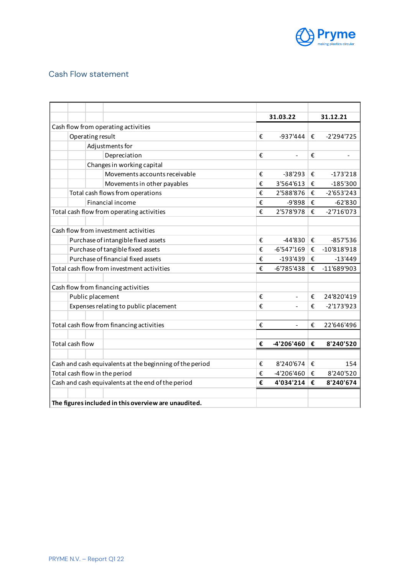

# Cash Flow statement

|                                                          |                                       |  |                                                      |              | 31.03.22                     | 31.12.21     |               |
|----------------------------------------------------------|---------------------------------------|--|------------------------------------------------------|--------------|------------------------------|--------------|---------------|
| Cash flow from operating activities                      |                                       |  |                                                      |              |                              |              |               |
|                                                          | Operating result                      |  |                                                      | €            | -937'444                     | €            | $-2'294'725$  |
|                                                          | Adjustments for                       |  |                                                      |              |                              |              |               |
|                                                          |                                       |  | Depreciation                                         | €            | $\qquad \qquad \blacksquare$ | €            |               |
|                                                          |                                       |  | Changes in working capital                           |              |                              |              |               |
|                                                          |                                       |  | Movements accounts receivable                        | €            | $-38'293$                    | €            | $-173'218$    |
|                                                          |                                       |  | Movements in other payables                          | €            | 3'564'613                    | €            | $-185'300$    |
|                                                          | Total cash flows from operations      |  |                                                      | €            | 2'588'876                    | €            | $-2'653'243$  |
|                                                          |                                       |  | <b>Financial income</b>                              | €            | -9'898                       | €            | $-62'830$     |
| Total cash flow from operating activities                |                                       |  | €                                                    | 2'578'978    | €                            | $-2'716'073$ |               |
|                                                          |                                       |  |                                                      |              |                              |              |               |
| Cash flow from investment activities                     |                                       |  |                                                      |              |                              |              |               |
|                                                          | Purchase of intangible fixed assets   |  |                                                      |              | -44'830                      | €            | $-857'536$    |
|                                                          | Purchase of tangible fixed assets     |  |                                                      |              | $-6'547'169$                 | €            | $-10'818'918$ |
|                                                          | Purchase of financial fixed assets    |  |                                                      |              | $-193'439$                   | €            | $-13'449$     |
| Total cash flow from investment activities               |                                       |  | €                                                    | $-6'785'438$ | €                            | -11'689'903  |               |
|                                                          |                                       |  |                                                      |              |                              |              |               |
| Cash flow from financing activities                      |                                       |  |                                                      |              |                              |              |               |
|                                                          | Public placement                      |  |                                                      |              |                              | €            | 24'820'419    |
|                                                          | Expenses relating to public placement |  |                                                      | €            |                              | €            | $-2'173'923$  |
|                                                          |                                       |  |                                                      |              |                              |              |               |
| Total cash flow from financing activities                |                                       |  |                                                      | €            | $\overline{a}$               | €            | 22'646'496    |
|                                                          |                                       |  |                                                      |              |                              |              |               |
|                                                          | Total cash flow                       |  |                                                      | €            | -4'206'460                   | €            | 8'240'520     |
|                                                          |                                       |  |                                                      |              |                              |              |               |
| Cash and cash equivalents at the beginning of the period |                                       |  |                                                      |              | 8'240'674                    | €            | 154           |
| Total cash flow in the period                            |                                       |  |                                                      | €            | -4'206'460                   | €            | 8'240'520     |
| Cash and cash equivalents at the end of the period       |                                       |  |                                                      |              | 4'034'214                    | €            | 8'240'674     |
|                                                          |                                       |  |                                                      |              |                              |              |               |
|                                                          |                                       |  | The figures included in this overview are unaudited. |              |                              |              |               |